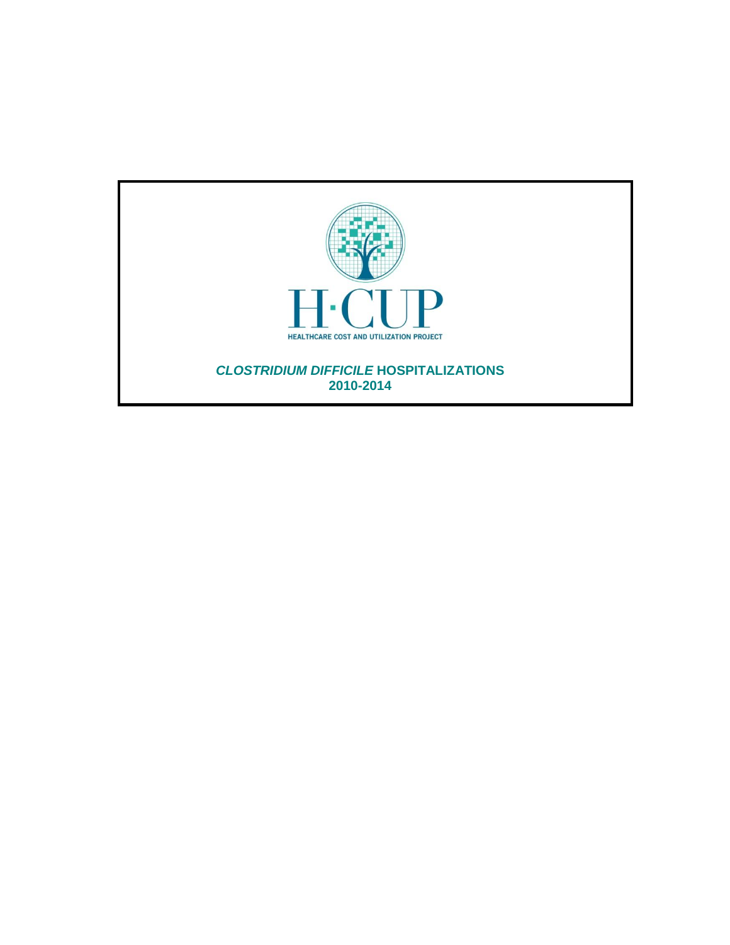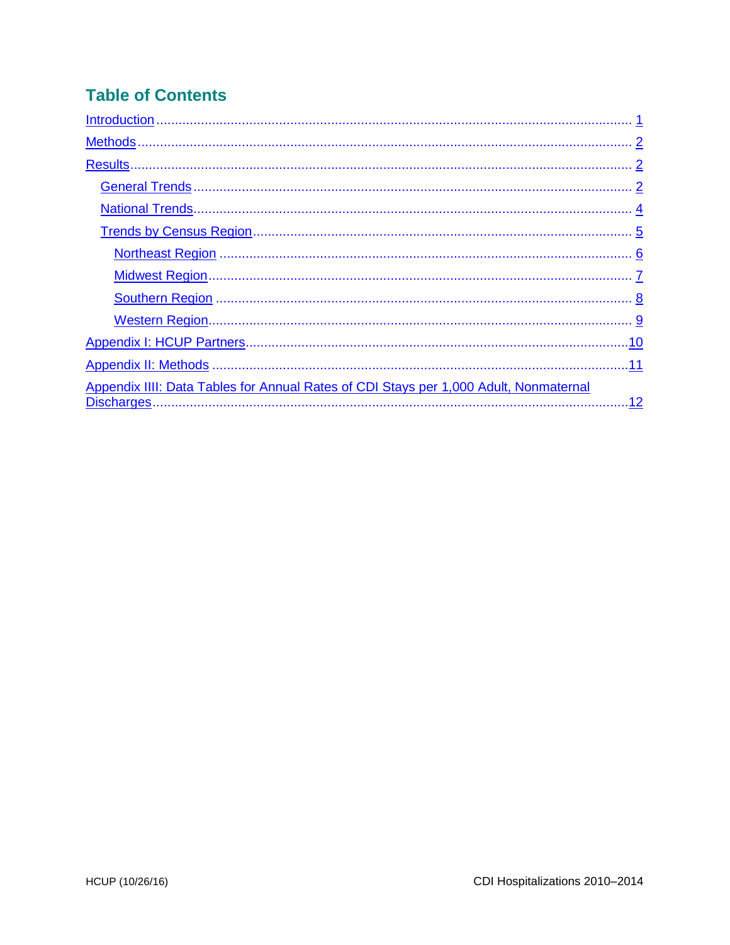# **Table of Contents**

|                                                                                       | .10        |
|---------------------------------------------------------------------------------------|------------|
|                                                                                       |            |
| Appendix IIII: Data Tables for Annual Rates of CDI Stays per 1,000 Adult, Nonmaternal | <u>.12</u> |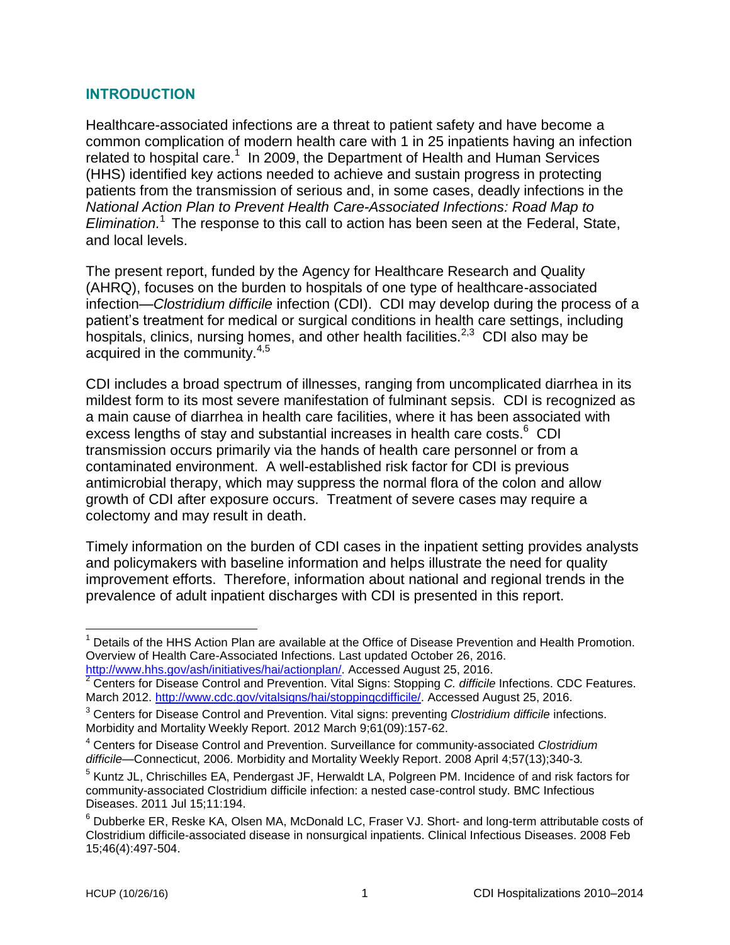#### <span id="page-2-0"></span>**INTRODUCTION**

Healthcare-associated infections are a threat to patient safety and have become a common complication of modern health care with 1 in 25 inpatients having an infection related to hospital care.<sup>1</sup> In 2009, the Department of Health and Human Services (HHS) identified key actions needed to achieve and sustain progress in protecting patients from the transmission of serious and, in some cases, deadly infections in the *National Action Plan to Prevent Health Care-Associated Infections: Road Map to*  Elimination.<sup>1</sup> The response to this call to action has been seen at the Federal, State, and local levels.

The present report, funded by the Agency for Healthcare Research and Quality (AHRQ), focuses on the burden to hospitals of one type of healthcare-associated infection—*Clostridium difficile* infection (CDI). CDI may develop during the process of a patient's treatment for medical or surgical conditions in health care settings, including hospitals, clinics, nursing homes, and other health facilities.<sup>2,3</sup> CDI also may be acquired in the community.<sup>4,5</sup>

CDI includes a broad spectrum of illnesses, ranging from uncomplicated diarrhea in its mildest form to its most severe manifestation of fulminant sepsis. CDI is recognized as a main cause of diarrhea in health care facilities, where it has been associated with excess lengths of stay and substantial increases in health care costs.<sup>6</sup> CDI transmission occurs primarily via the hands of health care personnel or from a contaminated environment. A well-established risk factor for CDI is previous antimicrobial therapy, which may suppress the normal flora of the colon and allow growth of CDI after exposure occurs. Treatment of severe cases may require a colectomy and may result in death.

Timely information on the burden of CDI cases in the inpatient setting provides analysts and policymakers with baseline information and helps illustrate the need for quality improvement efforts. Therefore, information about national and regional trends in the prevalence of adult inpatient discharges with CDI is presented in this report.

 $\overline{a}$ 

<sup>&</sup>lt;sup>1</sup> Details of the HHS Action Plan are available at the Office of Disease Prevention and Health Promotion. Overview of Health Care-Associated Infections. Last updated October 26, 2016. [http://www.hhs.gov/ash/initiatives/hai/actionplan/.](http://www.hhs.gov/ash/initiatives/hai/actionplan/) Accessed August 25, 2016.

<sup>2</sup> Centers for Disease Control and Prevention. Vital Signs: Stopping *C. difficile* Infections. CDC Features. March 2012. [http://www.cdc.gov/vitalsigns/hai/stoppingcdifficile/.](http://www.cdc.gov/vitalsigns/hai/stoppingcdifficile/) Accessed August 25, 2016.

<sup>3</sup> Centers for Disease Control and Prevention. Vital signs: preventing *Clostridium difficile* infections. Morbidity and Mortality Weekly Report. 2012 March 9;61(09):157-62.

<sup>4</sup> Centers for Disease Control and Prevention. Surveillance for community-associated *Clostridium difficile*—Connecticut, 2006*.* Morbidity and Mortality Weekly Report. 2008 April 4;57(13);340-3*.* 

<sup>&</sup>lt;sup>5</sup> Kuntz JL, Chrischilles EA, Pendergast JF, Herwaldt LA, Polgreen PM. Incidence of and risk factors for community-associated Clostridium difficile infection: a nested case-control study. BMC Infectious Diseases. 2011 Jul 15;11:194.

<sup>&</sup>lt;sup>6</sup> Dubberke ER, Reske KA, Olsen MA, McDonald LC, Fraser VJ. Short- and long-term attributable costs of Clostridium difficile-associated disease in nonsurgical inpatients. Clinical Infectious Diseases. 2008 Feb 15;46(4):497-504.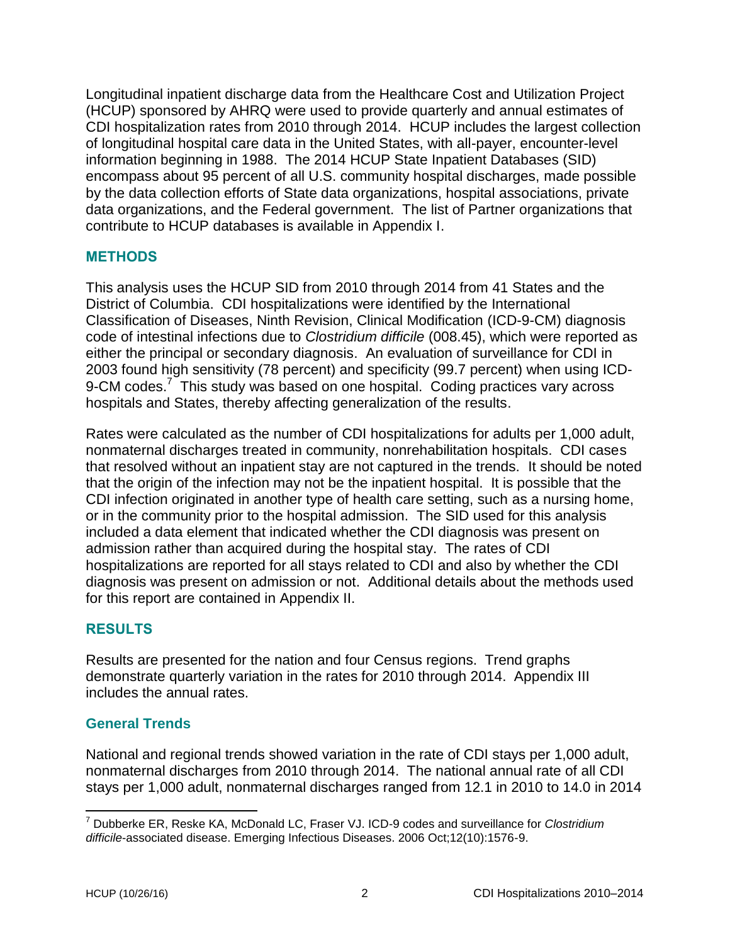Longitudinal inpatient discharge data from the Healthcare Cost and Utilization Project (HCUP) sponsored by AHRQ were used to provide quarterly and annual estimates of CDI hospitalization rates from 2010 through 2014. HCUP includes the largest collection of longitudinal hospital care data in the United States, with all-payer, encounter-level information beginning in 1988. The 2014 HCUP State Inpatient Databases (SID) encompass about 95 percent of all U.S. community hospital discharges, made possible by the data collection efforts of State data organizations, hospital associations, private data organizations, and the Federal government. The list of Partner organizations that contribute to HCUP databases is available in Appendix I.

#### <span id="page-3-0"></span>**METHODS**

This analysis uses the HCUP SID from 2010 through 2014 from 41 States and the District of Columbia. CDI hospitalizations were identified by the International Classification of Diseases, Ninth Revision, Clinical Modification (ICD-9-CM) diagnosis code of intestinal infections due to *Clostridium difficile* (008.45), which were reported as either the principal or secondary diagnosis. An evaluation of surveillance for CDI in 2003 found high sensitivity (78 percent) and specificity (99.7 percent) when using ICD-9-CM codes.<sup>7</sup> This study was based on one hospital. Coding practices vary across hospitals and States, thereby affecting generalization of the results.

Rates were calculated as the number of CDI hospitalizations for adults per 1,000 adult, nonmaternal discharges treated in community, nonrehabilitation hospitals. CDI cases that resolved without an inpatient stay are not captured in the trends. It should be noted that the origin of the infection may not be the inpatient hospital. It is possible that the CDI infection originated in another type of health care setting, such as a nursing home, or in the community prior to the hospital admission. The SID used for this analysis included a data element that indicated whether the CDI diagnosis was present on admission rather than acquired during the hospital stay. The rates of CDI hospitalizations are reported for all stays related to CDI and also by whether the CDI diagnosis was present on admission or not. Additional details about the methods used for this report are contained in Appendix II.

#### <span id="page-3-1"></span>**RESULTS**

Results are presented for the nation and four Census regions. Trend graphs demonstrate quarterly variation in the rates for 2010 through 2014. Appendix III includes the annual rates.

#### <span id="page-3-2"></span>**General Trends**

National and regional trends showed variation in the rate of CDI stays per 1,000 adult, nonmaternal discharges from 2010 through 2014. The national annual rate of all CDI stays per 1,000 adult, nonmaternal discharges ranged from 12.1 in 2010 to 14.0 in 2014

 $\overline{a}$ 

<sup>7</sup> Dubberke ER, Reske KA, McDonald LC, Fraser VJ. ICD-9 codes and surveillance for *Clostridium difficile*-associated disease. Emerging Infectious Diseases. 2006 Oct;12(10):1576-9.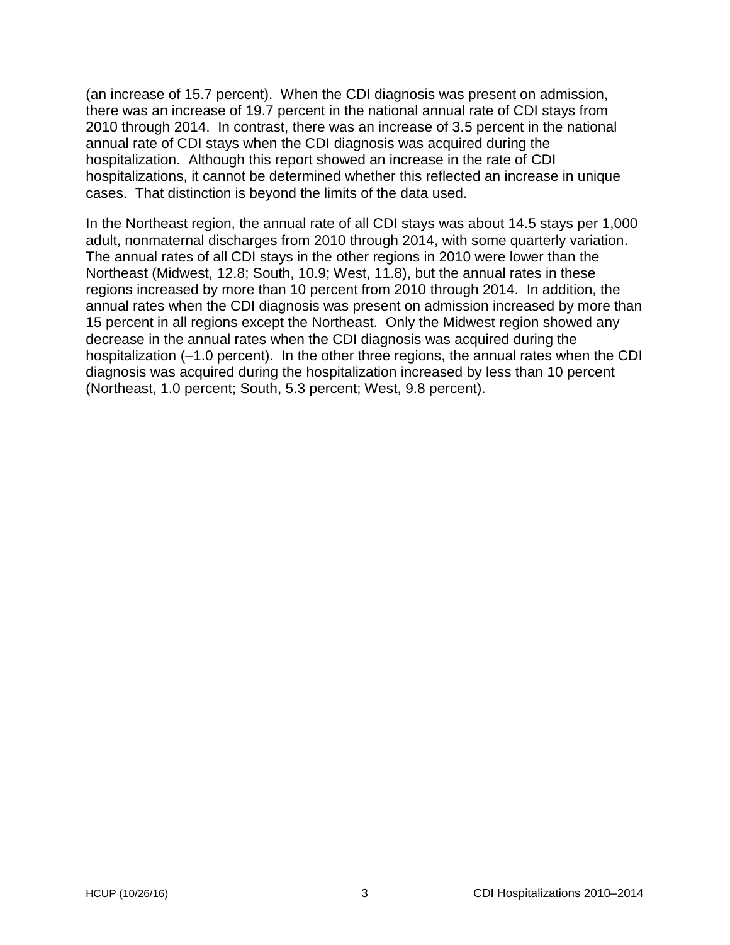(an increase of 15.7 percent). When the CDI diagnosis was present on admission, there was an increase of 19.7 percent in the national annual rate of CDI stays from 2010 through 2014. In contrast, there was an increase of 3.5 percent in the national annual rate of CDI stays when the CDI diagnosis was acquired during the hospitalization. Although this report showed an increase in the rate of CDI hospitalizations, it cannot be determined whether this reflected an increase in unique cases. That distinction is beyond the limits of the data used.

In the Northeast region, the annual rate of all CDI stays was about 14.5 stays per 1,000 adult, nonmaternal discharges from 2010 through 2014, with some quarterly variation. The annual rates of all CDI stays in the other regions in 2010 were lower than the Northeast (Midwest, 12.8; South, 10.9; West, 11.8), but the annual rates in these regions increased by more than 10 percent from 2010 through 2014. In addition, the annual rates when the CDI diagnosis was present on admission increased by more than 15 percent in all regions except the Northeast. Only the Midwest region showed any decrease in the annual rates when the CDI diagnosis was acquired during the hospitalization (-1.0 percent). In the other three regions, the annual rates when the CDI diagnosis was acquired during the hospitalization increased by less than 10 percent (Northeast, 1.0 percent; South, 5.3 percent; West, 9.8 percent).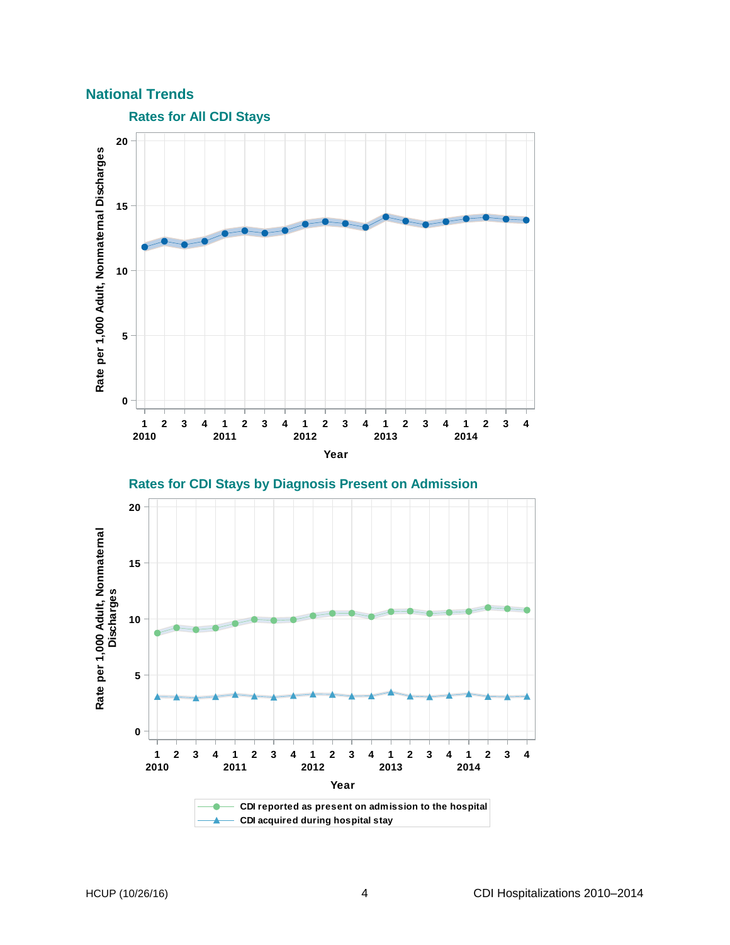## <span id="page-5-0"></span>**National Trends**





**Rates for CDI Stays by Diagnosis Present on Admission**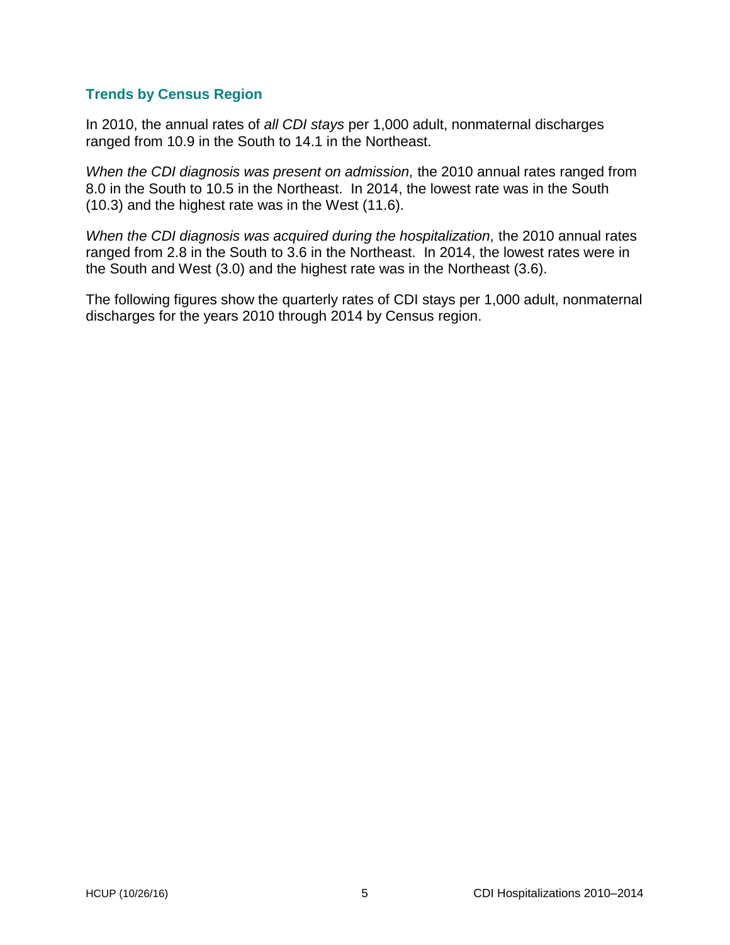## <span id="page-6-0"></span>**Trends by Census Region**

In 2010, the annual rates of *all CDI stays* per 1,000 adult, nonmaternal discharges ranged from 10.9 in the South to 14.1 in the Northeast.

*When the CDI diagnosis was present on admission,* the 2010 annual rates ranged from 8.0 in the South to 10.5 in the Northeast. In 2014, the lowest rate was in the South (10.3) and the highest rate was in the West (11.6).

*When the CDI diagnosis was acquired during the hospitalization,* the 2010 annual rates ranged from 2.8 in the South to 3.6 in the Northeast. In 2014, the lowest rates were in the South and West (3.0) and the highest rate was in the Northeast (3.6).

The following figures show the quarterly rates of CDI stays per 1,000 adult, nonmaternal discharges for the years 2010 through 2014 by Census region.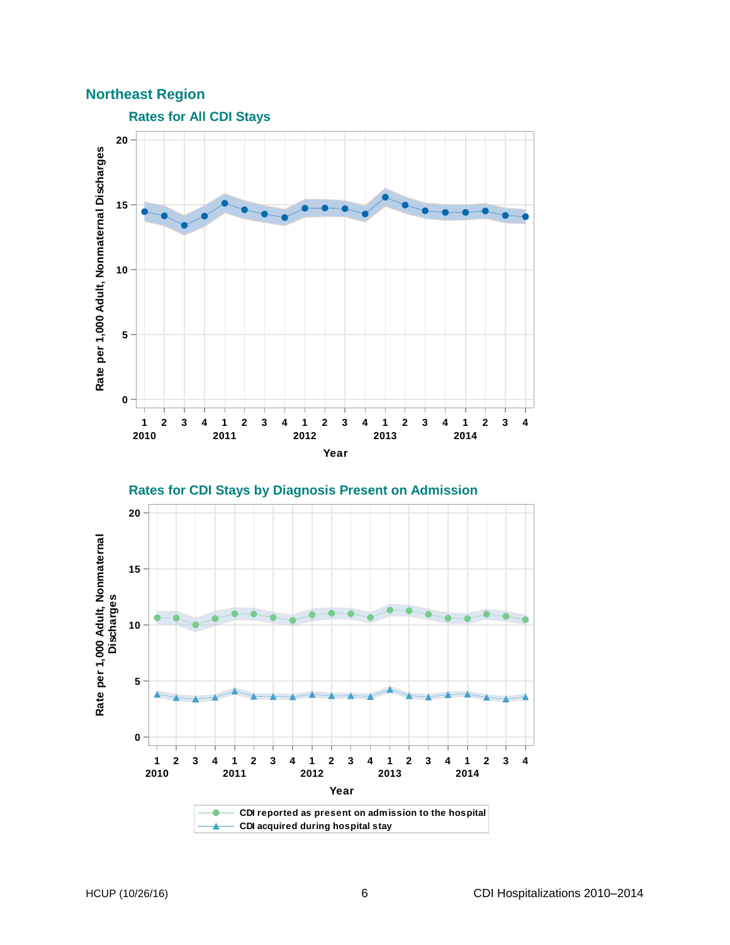<span id="page-7-0"></span>**Northeast Region**



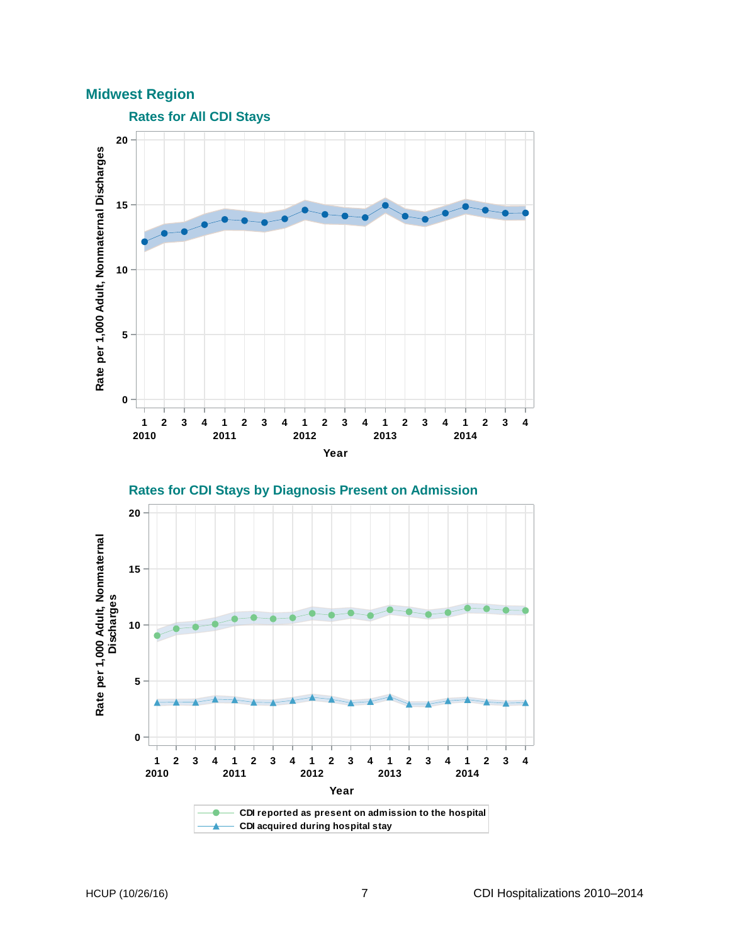<span id="page-8-0"></span>**Midwest Region**



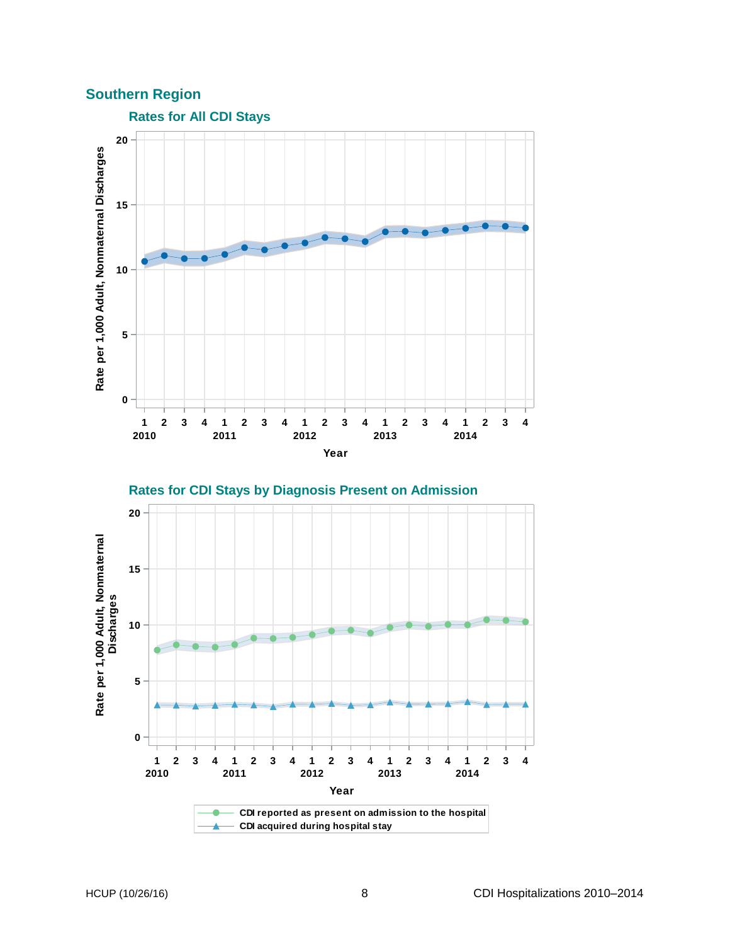# <span id="page-9-0"></span>**Southern Region**





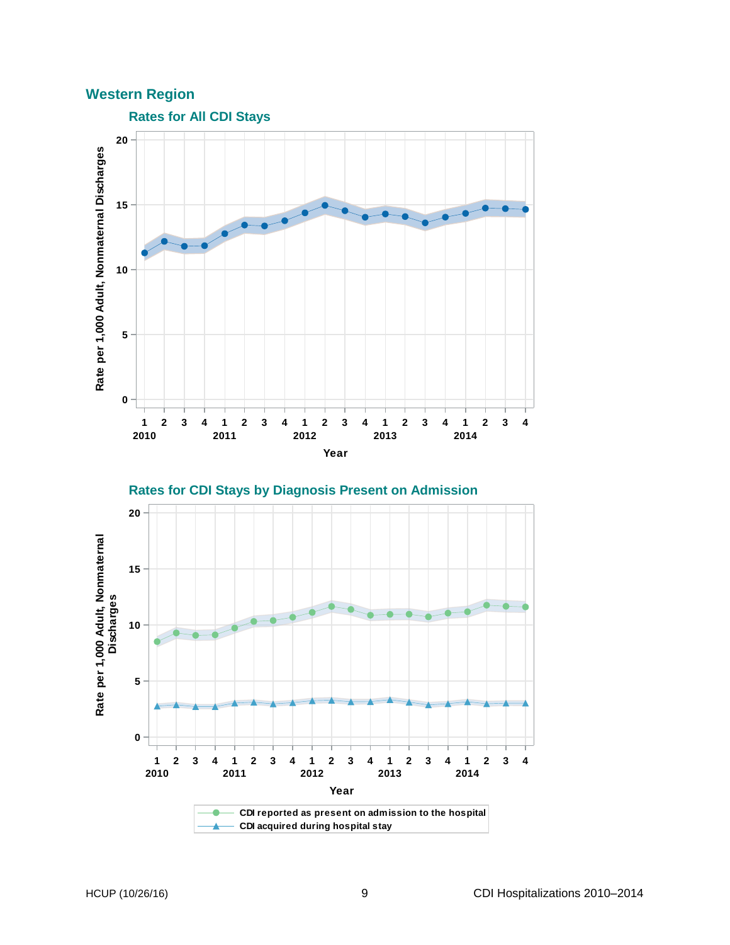<span id="page-10-0"></span>**Western Region**



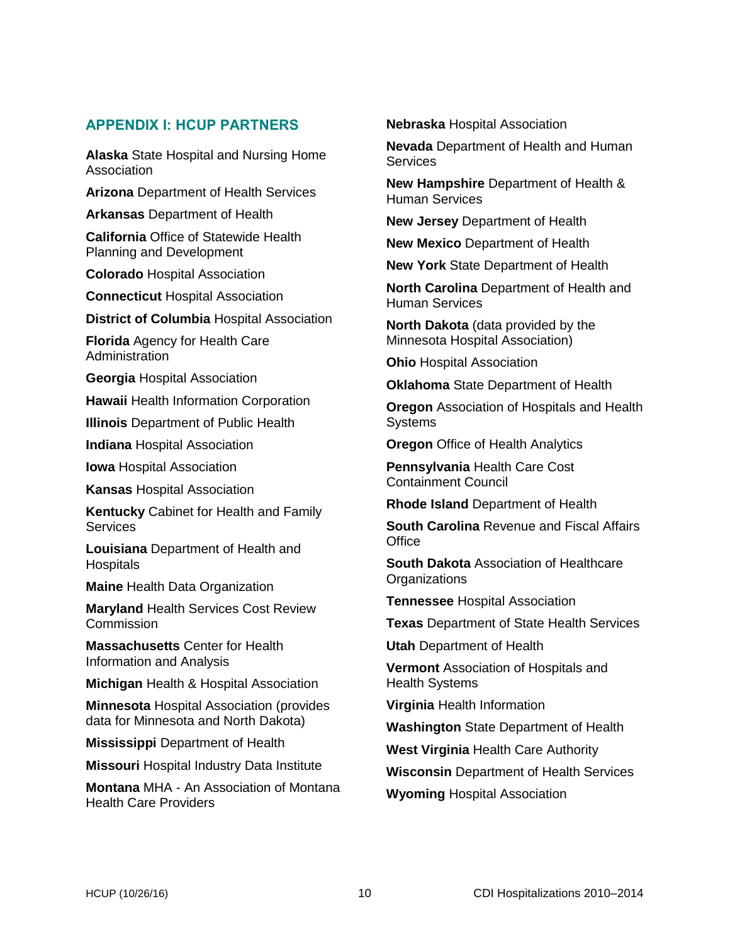# <span id="page-11-0"></span>**APPENDIX I: HCUP PARTNERS**

**Alaska** State Hospital and Nursing Home Association

**Arizona** Department of Health Services

**Arkansas** Department of Health

**California** Office of Statewide Health Planning and Development

**Colorado** Hospital Association

**Connecticut** Hospital Association

**District of Columbia** Hospital Association

**Florida** Agency for Health Care **Administration** 

**Georgia** Hospital Association

**Hawaii** Health Information Corporation

**Illinois** Department of Public Health

**Indiana** Hospital Association

**Iowa** Hospital Association

**Kansas** Hospital Association

**Kentucky** Cabinet for Health and Family **Services** 

**Louisiana** Department of Health and **Hospitals** 

**Maine** Health Data Organization

**Maryland** Health Services Cost Review Commission

**Massachusetts** Center for Health Information and Analysis

**Michigan** Health & Hospital Association

**Minnesota** Hospital Association (provides data for Minnesota and North Dakota)

**Mississippi** Department of Health

**Missouri** Hospital Industry Data Institute

**Montana** MHA - An Association of Montana Health Care Providers

**Nebraska** Hospital Association

**Nevada** Department of Health and Human Services

**New Hampshire** Department of Health & Human Services

**New Jersey** Department of Health

**New Mexico** Department of Health

**New York** State Department of Health

**North Carolina** Department of Health and Human Services

**North Dakota** (data provided by the Minnesota Hospital Association)

**Ohio** Hospital Association

**Oklahoma** State Department of Health

**Oregon** Association of Hospitals and Health **Systems** 

**Oregon** Office of Health Analytics

**Pennsylvania** Health Care Cost Containment Council

**Rhode Island** Department of Health

**South Carolina** Revenue and Fiscal Affairs **Office** 

**South Dakota** Association of Healthcare **Organizations** 

**Tennessee** Hospital Association

**Texas** Department of State Health Services

**Utah** Department of Health

**Vermont** Association of Hospitals and Health Systems

**Virginia** Health Information

**Washington** State Department of Health

**West Virginia** Health Care Authority

**Wisconsin** Department of Health Services

**Wyoming** Hospital Association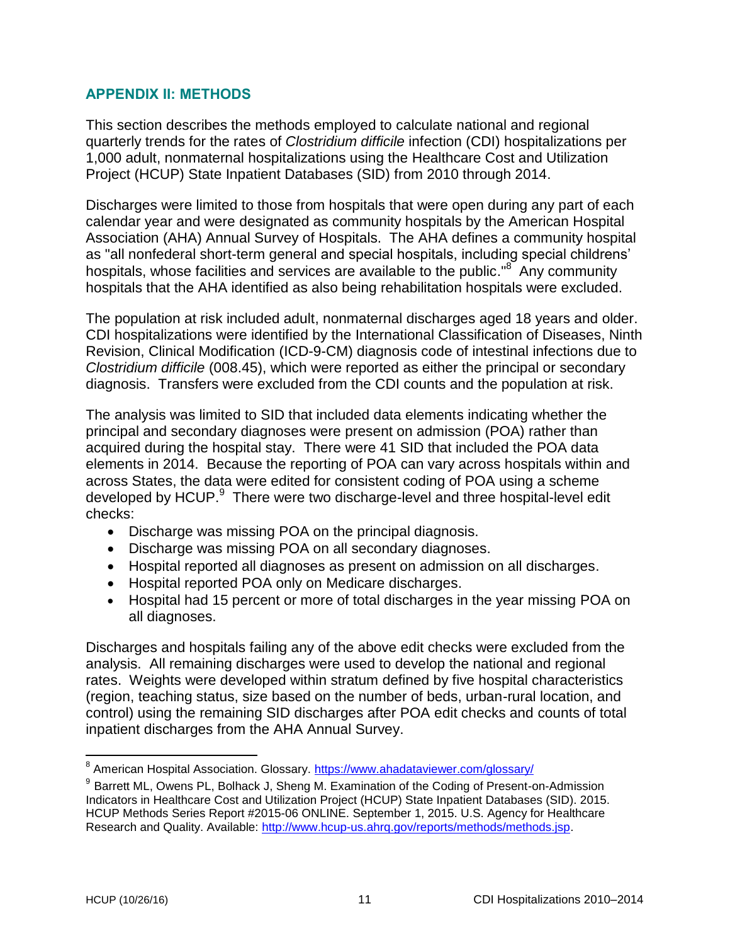## <span id="page-12-0"></span>**APPENDIX II: METHODS**

This section describes the methods employed to calculate national and regional quarterly trends for the rates of *Clostridium difficile* infection (CDI) hospitalizations per 1,000 adult, nonmaternal hospitalizations using the Healthcare Cost and Utilization Project (HCUP) State Inpatient Databases (SID) from 2010 through 2014.

Discharges were limited to those from hospitals that were open during any part of each calendar year and were designated as community hospitals by the American Hospital Association (AHA) Annual Survey of Hospitals. The AHA defines a community hospital as "all nonfederal short-term general and special hospitals, including special childrens' hospitals, whose facilities and services are available to the public."<sup>8</sup> Any community hospitals that the AHA identified as also being rehabilitation hospitals were excluded.

The population at risk included adult, nonmaternal discharges aged 18 years and older. CDI hospitalizations were identified by the International Classification of Diseases, Ninth Revision, Clinical Modification (ICD-9-CM) diagnosis code of intestinal infections due to *Clostridium difficile* (008.45), which were reported as either the principal or secondary diagnosis. Transfers were excluded from the CDI counts and the population at risk.

The analysis was limited to SID that included data elements indicating whether the principal and secondary diagnoses were present on admission (POA) rather than acquired during the hospital stay. There were 41 SID that included the POA data elements in 2014. Because the reporting of POA can vary across hospitals within and across States, the data were edited for consistent coding of POA using a scheme developed by HCUP.<sup>9</sup> There were two discharge-level and three hospital-level edit checks:

- Discharge was missing POA on the principal diagnosis.
- Discharge was missing POA on all secondary diagnoses.
- Hospital reported all diagnoses as present on admission on all discharges.
- Hospital reported POA only on Medicare discharges.
- Hospital had 15 percent or more of total discharges in the year missing POA on all diagnoses.

Discharges and hospitals failing any of the above edit checks were excluded from the analysis. All remaining discharges were used to develop the national and regional rates. Weights were developed within stratum defined by five hospital characteristics (region, teaching status, size based on the number of beds, urban-rural location, and control) using the remaining SID discharges after POA edit checks and counts of total inpatient discharges from the AHA Annual Survey.

\_\_\_\_\_\_\_\_\_\_\_\_\_\_\_\_\_\_\_\_\_\_\_\_\_\_\_\_\_\_\_\_\_\_\_<br><sup>8</sup> American Hospital Association. Glossary. <u>https://www.ahadataviewer.com/glossary</u>/

<sup>&</sup>lt;sup>9</sup> Barrett ML, Owens PL, Bolhack J, Sheng M. Examination of the Coding of Present-on-Admission Indicators in Healthcare Cost and Utilization Project (HCUP) State Inpatient Databases (SID). 2015. HCUP Methods Series Report #2015-06 ONLINE. September 1, 2015. U.S. Agency for Healthcare Research and Quality. Available: [http://www.hcup-us.ahrq.gov/reports/methods/methods.jsp.](http://www.hcup-us.ahrq.gov/reports/methods/methods.jsp)